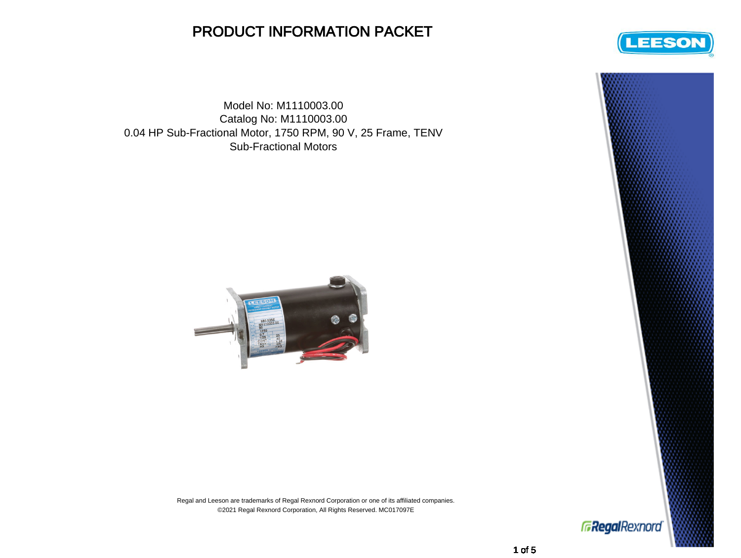## PRODUCT INFORMATION PACKET

Model No: M1110003.00 Catalog No: M1110003.00 0.04 HP Sub-Fractional Motor, 1750 RPM, 90 V, 25 Frame, TENV Sub-Fractional Motors







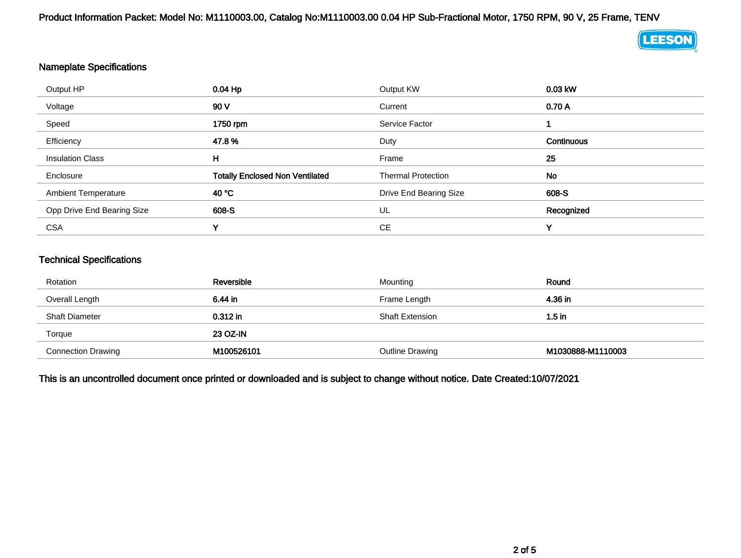Product Information Packet: Model No: M1110003.00, Catalog No:M1110003.00 0.04 HP Sub-Fractional Motor, 1750 RPM, 90 V, 25 Frame, TENV



## Nameplate Specifications

| Output HP                  | 0.04 Hp                                | Output KW                 | 0.03 kW    |
|----------------------------|----------------------------------------|---------------------------|------------|
| Voltage                    | 90 V                                   | Current                   | 0.70A      |
| Speed                      | 1750 rpm                               | Service Factor            |            |
| Efficiency                 | 47.8%                                  | Duty                      | Continuous |
| <b>Insulation Class</b>    | н                                      | Frame                     | 25         |
| Enclosure                  | <b>Totally Enclosed Non Ventilated</b> | <b>Thermal Protection</b> | No         |
| <b>Ambient Temperature</b> | 40 °C                                  | Drive End Bearing Size    | 608-S      |
| Opp Drive End Bearing Size | 608-S                                  | UL                        | Recognized |
| <b>CSA</b>                 | v                                      | CЕ                        | ν          |

## Technical Specifications

| Rotation                  | Reversible      | Mounting               | Round             |
|---------------------------|-----------------|------------------------|-------------------|
| Overall Length            | 6.44 in         | Frame Length           | 4.36 in           |
| <b>Shaft Diameter</b>     | $0.312$ in      | <b>Shaft Extension</b> | 1.5 in            |
| Torque                    | <b>23 OZ-IN</b> |                        |                   |
| <b>Connection Drawing</b> | M100526101      | <b>Outline Drawing</b> | M1030888-M1110003 |

This is an uncontrolled document once printed or downloaded and is subject to change without notice. Date Created:10/07/2021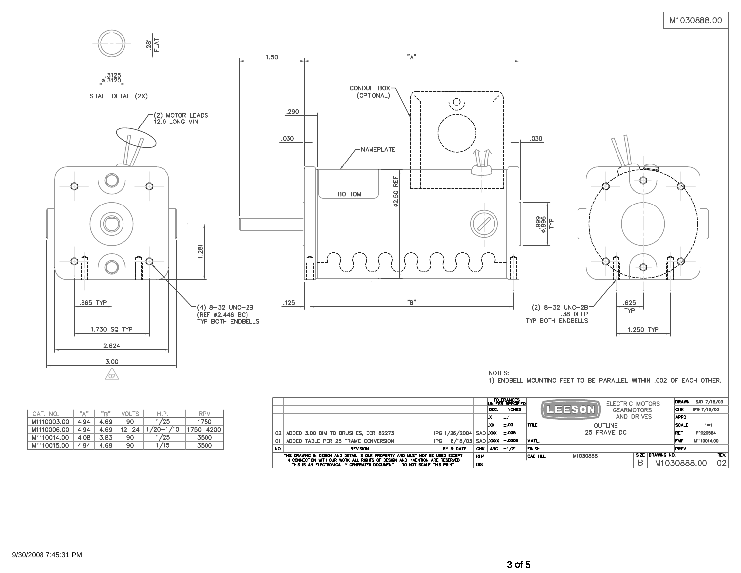

|                 |                                                                                                                                                              |            |                           |             |           | ±.03  | <b>ITTLE</b>  | OUTLINE     |                  | <b>SCALE</b> | $1 = 1$     |  |
|-----------------|--------------------------------------------------------------------------------------------------------------------------------------------------------------|------------|---------------------------|-------------|-----------|-------|---------------|-------------|------------------|--------------|-------------|--|
| 02 <sub>1</sub> | ADDED 3.00 DIM TO BRUSHES, ECR 82273                                                                                                                         |            | IPG 1/26/2004   SAD   XXX |             |           | ±.005 |               | 25 FRAME DC |                  | <b>IREF</b>  | PR020584    |  |
| O1.             | ADDED TABLE PER 25 FRAME CONVERSION                                                                                                                          | <b>IPG</b> | 8/18/03 SAD XXXX ± 0005   |             |           |       | IMATL.        |             |                  | <b>FMF</b>   | M1110014.00 |  |
| NO.             | <b>REVISION</b>                                                                                                                                              |            | BY & DATE                 |             | CHK ANG I | ±1/2" | <b>FINISH</b> |             |                  | <b>IPREV</b> |             |  |
|                 | THIS DRAWING IN DESIGN AND DETAIL IS OUR PROPERTY AND MUST NOT BE USED EXCEPT<br>IN CONNECTION WITH OUR WORK ALL RIGHTS OF DESIGN AND INVENTION ARE RESERVED |            |                           | <b>RFP</b>  |           |       | ICAD FILE     | M1030888    | SIZE DRAWING NO. |              |             |  |
|                 | THIS IS AN FLECTRONICALLY GENERATED DOCUMENT - DO NOT SCALE THIS PRINT                                                                                       |            |                           | <b>DIST</b> |           |       |               |             | M1030888.00      |              |             |  |

| CAT. NO.    | $"^{\mathbb{A}}$ | "R"  | VOLTS     | H.P.          | <b>RPM</b> |
|-------------|------------------|------|-----------|---------------|------------|
| M1110003.00 | 4.94             | 4.69 | 90        | 1/25          | 1750       |
| M1110006.00 | 4.94             | 4.69 | $12 - 24$ | $1/20 - 1/10$ | 1750-4200  |
| M1110014.00 | 4.08             | 3.83 | 90        | 1/25          | 3500       |
| M1110015.00 | 4.94             | 4.69 | 90        | 1/15          | 3500       |

 $REV.$ 02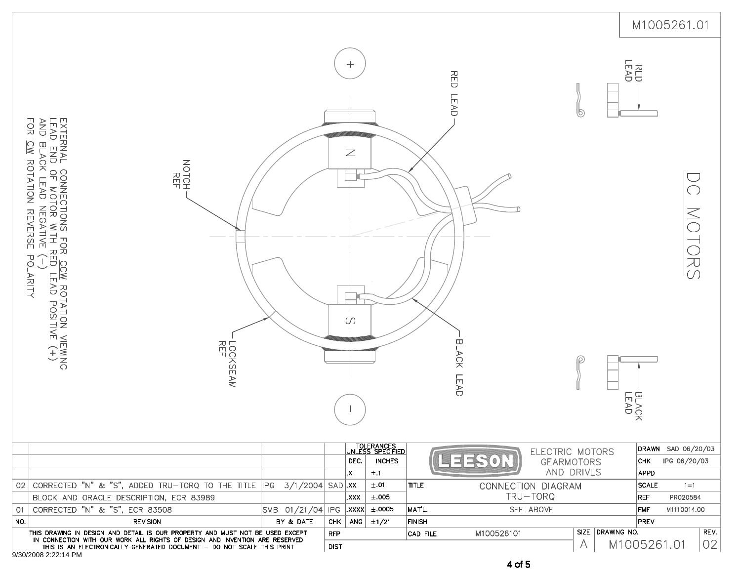|     |                                                                                                                                                                                                                            |                  |             |                                  |                                                 |               |                                     |                  |                              | M1005261.01                        |
|-----|----------------------------------------------------------------------------------------------------------------------------------------------------------------------------------------------------------------------------|------------------|-------------|----------------------------------|-------------------------------------------------|---------------|-------------------------------------|------------------|------------------------------|------------------------------------|
|     | EXTERNAL CONNECTIONS FOR <u>CCW</u> ROTATION VIEWING<br>Lead end of motor with red lead positive (+)<br>and black lead negative (-)<br>ГОК<br>Э<br>CW ROTATION<br>NOTCH :<br><b>REVERSE</b><br>POLARITY<br>LOCKSEAM<br>REF |                  |             | $^{+}$<br>$\mathbb Z$<br>$\circ$ |                                                 |               | RED<br><b>LEAD</b><br>BLACK<br>LEAD | 9                | <b>HEAD</b><br>BLACK<br>LEAD | $\widetilde{\bigcirc}$<br>NORSS    |
|     |                                                                                                                                                                                                                            |                  |             | DEC.                             | TOLERANCES<br>UNLESS SPECIFIED<br><b>INCHES</b> |               | 킈<br><b>GEARMOTORS</b>              | ELECTRIC MOTORS  | <b>CHK</b>                   | DRAWN SAD 06/20/03<br>IPG 06/20/03 |
|     | 02 CORRECTED "N" & "S", ADDED TRU-TORQ TO THE TITLE $ PG  = 3/1/2004$ SAD XX                                                                                                                                               |                  |             | X.                               | ±.1<br>±.01                                     | <b>TITLE</b>  |                                     | AND DRIVES       | APPD<br>SCALE                | $1 = 1$                            |
|     | BLOCK AND ORACLE DESCRIPTION, ECR 83989                                                                                                                                                                                    |                  |             | XXX.                             | $\pm.005$                                       |               | CONNECTION DIAGRAM<br>TRU-TORQ      |                  | REF                          | PR020584                           |
| 01  | CORRECTED "N" & "S", ECR 83508                                                                                                                                                                                             | SMB 01/21/04 IPG |             | XXXX.                            | ±.0005                                          | MAT'L.        | SEE ABOVE                           |                  | $\mathsf{FMF}$               | M1110014.00                        |
| NO. | <b>REVISION</b>                                                                                                                                                                                                            | BY & DATE        | CHK         |                                  | ANG $\pm 1/2$                                   | <b>FINISH</b> |                                     |                  | PREV                         |                                    |
|     | THIS DRAWING IN DESIGN AND DETAIL IS OUR PROPERTY AND MUST NOT BE USED EXCEPT                                                                                                                                              |                  | <b>RFP</b>  |                                  |                                                 | CAD FILE      | M100526101                          | SIZE DRAWING NO. |                              | REV.                               |
|     | IN CONNECTION WITH OUR WORK ALL RIGHTS OF DESIGN AND INVENTION ARE RESERVED<br>THIS IS AN ELECTRONICALLY GENERATED DOCUMENT - DO NOT SCALE THIS PRINT<br>9/30/2008 2:22:14 PM                                              |                  | <b>DIST</b> |                                  |                                                 |               |                                     | A                | M1005261.01                  | 02                                 |

4 of 5